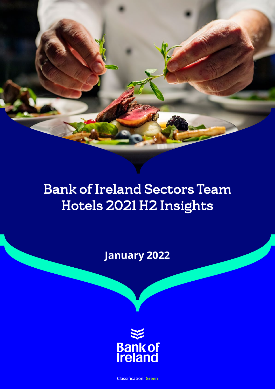# Bank of Ireland Sectors Team Hotels 2021 H2 Insights

**January 2022**



**Classification: Green**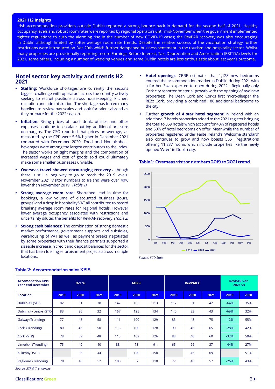#### <span id="page-1-0"></span>**2021 H2 Insights**

Irish accommodation providers outside Dublin reported a strong bounce back in demand for the second half of 2021. Healthy occupancy levels and robust room rates were reported by regional operators until mid-November when the government implemented tighter regulations to curb the alarming rise in the number of new COVID-19 cases; the RevPAR recovery was also encouraging in Dublin although limited by softer average room rate trends. Despite the relative success of the vaccination strategy further restrictions were introduced on Dec 20th which further dampened business sentiment in the tourism and hospitality sector. Whilst many properties are provisionally reporting record Earnings Before Interest, Tax, Depreciation and Amortization (EBITDA) levels for 2021, some others, including a number of wedding venues and some Dublin hotels are less enthusiastic about last year's outcome.

#### **Hotel sector key activity and trends H2 2021**

- **Staffing:** Workforce shortages are currently the sector's biggest challenge with operators across the country actively seeking to recruit positions across housekeeping, kitchen, reception and administration. The shortage has forced many hoteliers to review pay scales and look for talent abroad as they prepare for the 2022 season.
- **Inflation:** Rising prices of food, drink, utilities and other expenses continue to escalate putting additional pressure on margins. The CSO reported that prices on average, 'as measured by the CPI', were 5.5% higher in December 2021 compared with December 2020. Food and Non-alcoholic beverages were among the largest contributors to the index. The sector works on tight margins and the combination of increased wages and cost of goods sold could ultimately make some smaller businesses unviable.
- **• Overseas travel showed encouraging recovery** although there is still a long way to go to reach the 2019 levels. November 2021 visitor numbers to Ireland were over 40% lower than November 2019 . *(Table 1)*
- **Strong average room rate:** Shortened lead in time for bookings, a low volume of discounted business (tours, groups) and a drop in hospitality VAT all contributed to record breaking average room rates for regional hotels. However lower average occupancy associated with restrictions and uncertainty diluted the benefits for RevPAR recovery. *(Table 2)*
- **Strong cash balances:** The combination of strong domestic market performance, government supports and subsidies, warehousing of VAT as well as payment breaks negotiated by some properties with their finance partners supported a sizeable increase in credit and deposit balances for the sector that has been fuelling refurbishment projects across multiple locations.
- **• Hotel openings:** CBRE estimates that 1,128 new bedrooms entered the accommodation market in Dublin during 2021 with a further 3.4k expected to open during 2022. Regionally only Cork city reported 'material' growth with the opening of two new properties: The Dean Cork and Cork's first micro-sleeper the REZz Cork, providing a combined 186 additional bedrooms to the city.
- **•** Further **growth of 4 star hotel segment** in Ireland with an additional 7 hotels properties added to the 2021 register bringing the total to 359 hotels which account for 43% of registered hotels and 60% of hotel bedrooms on offer. Meanwhile the number of properties registered under Fáilte Ireland's 'Welcome standard' also continues to grow and now boasts 555 registrations offering 11,837 rooms which include properties like the newly opened 'Wren' in Dublin city.



#### Table 1: Overseas visitor numbers 2019 to 2021 trend

*Source: SCO Stats*

| <b>Accomodation KPIs</b><br><b>Year end December</b> | Occ % |      |      | AHR $\epsilon$ |      |      | RevPAR $\epsilon$ |      |      | <b>RevPAR Var.</b><br>2021 vs |      |
|------------------------------------------------------|-------|------|------|----------------|------|------|-------------------|------|------|-------------------------------|------|
| <b>Location</b>                                      | 2019  | 2020 | 2021 | 2019           | 2020 | 2021 | 2019              | 2020 | 2021 | 2019                          | 2020 |
| Dublin All (STR)                                     | 82    | 31   | 38   | 142            | 103  | 113  | 117               | 31   | 42   | $-64%$                        | 35%  |
| Dublin city centre (STR)                             | 83    | 26   | 32   | 167            | 125  | 134  | 140               | 33   | 43   | $-69%$                        | 32%  |
| Galway (Trending)                                    | 77    | 48   | 58   | 111            | 100  | 129  | 85                | 48   | 75   | $-12%$                        | 55%  |
| Cork (Trending)                                      | 80    | 46   | 50   | 113            | 100  | 128  | 90                | 46   | 65   | $-28%$                        | 42%  |
| Cork (STR)                                           | 78    | 39   | 48   | 113            | 102  | 126  | 88                | 40   | 60   | $-32%$                        | 50%  |
| Limerick (Trending)                                  | 75    | 40   | 40   | 88             | 73   | 91   | 65                | 29   | 37   | $-44%$                        | 27%  |
| Kilkenny (STR)                                       |       | 38   | 44   |                | 120  | 158  |                   | 45   | 69   |                               | 51%  |
| Regional (Trending)                                  | 78    | 46   | 52   | 100            | 87   | 110  | 77                | 40   | 57   | $-26%$                        | 43%  |

#### Table 2: Accommodation sales KPIS

*Source: STR & Trending.ie*

#### **Classification: Green** 2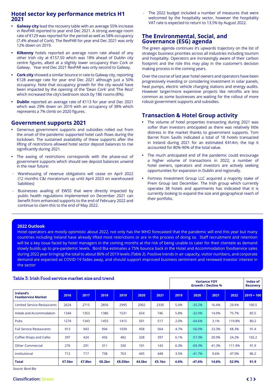## <span id="page-2-0"></span>**Hotel sector key performance metrics H1 2021**

- **• Galway city** lead the recovery table with an average 55% increase in RevPAR reported to year end Dec 2021. A strong average room rate of €129 was reported for the period as well as 58% occupancy (7.4% ahead of Cork). The RevPAR for year end Dec 2021 was only 12% down on 2019.
- **• Kilkenny** hotels reported an average room rate ahead of any other Irish city at €157.50 which was 18% ahead of Dublin city centre figures, albeit at a slightly lower occupancy than Cork or Galway. Year end Dec 2021 RevPAR was only second to Galway.
- **• Cork city** showed a similar bounce in rate to Galway city, reporting €128 average rate for year end Dec 2021 although just a 50% occupancy. Note that occupancy growth for the city would have been impacted by the opening of the 'Dean Cork' and 'The Rezz' which increased the city's bedroom stock by 186 rooms (8%).
- **• Dublin** reported an average rate of €113 for year end Dec 2021 which was 29% down on 2019 with an occupancy of 38% which represents a 7% climb on 2020 figures.

## **Government supports 2021**

- **•** Generous government supports and subsidies rolled out from the onset of the pandemic supported hotel cash flows during the lockdown. The sustained availability of these supports after the lifting of restrictions allowed hotel sector deposit balances to rise significantly during 2021.
- **•** The easing of restrictions corresponds with the phase-out of government supports which should see deposit balances unwind in the near future:
- Warehousing of revenue obligations will cease on April 2022 (12 months C&I moratorium up until April 2023 on warehoused liabilities)
- Businesses availing of EWSS that were directly impacted by public health regulations implemented on December 2021 can benefit from enhanced supports to the end of February 2022 and continue to claim this to the end of May 2022.

The 2022 budget included a number of measures that were welcomed by the hospitality sector, however the hospitality VAT rate is expected to return to 13.5% by August 2022.

### **The Environmental, Social, and Governance (ESG) agenda**

The green agenda continues it's upwards trajectory on the list of strategic business priorities across all industries including tourism and hospitality. Operators are increasingly aware of their carbon footprint and the role this may play in the customer's decision making process in the coming years.

Over the course of last year hotel owners and operators have been progressively investing or considering investment in solar panels, heat pumps, electric vehicle charging stations and energy audits. However larger/more expensive projects like retrofits are less common as some businesses are waiting for the rollout of more robust government supports and subsidies.

## **Transaction & Hotel Group activity**

- **•** The volume of hotel properties transacting during 2021 was softer than investors anticipated as there was relatively little distress in the market thanks to government supports. Tom Barret from Savills indicated a total of 18 hotels transacted in Ireland during 2021 for an estimated €414m; the top 6 accounted for 80%-90% of the total value.
- **•** The much anticipated end of the pandemic could encourage a higher volume of transactions in 2022; a number of hotel owners, operators and investors are actively seeking opportunities for expansion in Dublin and regionally.
- **•** Fortress Investment Group LLC acquired a majority stake of Prem Group last December. The Irish group which currently operates 38 hotels and apartments has indicated that it is currently looking to expand the size and geographical reach of their portfolio.

#### **2022 Outlook**

Hotel operators are mostly optimistic about 2022, not only has the WHO forecasted that the pandemic will end this year but many countries including Ireland have already lifted most restrictions or are in the process of doing so. Staff recruitment and retention will be a key issue faced by hotel managers in the coming months at the risk of being unable to cater for their clientele as demand slowly builds up to pre-pandemic levels. Bord Bia estimates a 75% bounce back in the Hotel and Accommodation foodservice sales during 2022 year bringing the total to about 86% of 2019 levels *(Table 3*). Positive trends in air capacity, visitor numbers, and corporate demand are expected as COVID-19 fades away, and should support improved business sentiment and renewed investor interest in the sector

| <u>Table 5. II ISH I OOU SEI VICE IHAI KEUSIZE AHU ULEHU</u> |        |        |        |         |        |        |      | Index of<br><b>Recovery</b> |       |        |              |
|--------------------------------------------------------------|--------|--------|--------|---------|--------|--------|------|-----------------------------|-------|--------|--------------|
| Ireland's<br><b>Foodservice Market</b>                       | 2016   | 2017   | 2018   | 2019    | 2020   | 2021   | 2019 | 2020                        | 2021  | 2022   | $2019 = 100$ |
| <b>Limited Service Restaurants</b>                           | 2624   | 2715   | 2856   | 2995    | 2002   | 2330   | 5.0% | $-33.2%$                    | 16.4% | 29.4%  | 100.5        |
| <b>Hotels and Accommodation</b>                              | 1344   | 1353   | 1386   | 1531    | 654    | 746    | 5.8% | $-32.0%$                    | 14.0% | 75.7%  | 85.5         |
| <b>Pubs</b>                                                  | 1274   | 1343   | 1455   | 1415    | 501    | 517    | 2.0% | $-64.6%$                    | 3.1%  | 119.8% | 80.2         |
| <b>Full Service Restaurants</b>                              | 913    | 943    | 994    | 1039    | 458    | 564    | 4.7% | $-56.0%$                    | 23.3% | 68.3%  | 91.4         |
| Coffee Shops and Cafes                                       | 397    | 424    | 456    | 482     | 328    | 397    | 6.1% | $-57.3%$                    | 20.9% | 24.2%  | 102.2        |
| <b>Other Commercial</b>                                      | 276    | 291    | 311    | 330     | 101    | 143    | 6.3% | $-69.3%$                    | 41.3% | 111.9% | 91.9         |
| Institutional                                                | 712    | 717    | 738    | 763     | 445    | 448    | 3.5% | $-41.7%$                    | 0.6%  | 47.0%  | 86.2         |
| <b>Total</b>                                                 | €7.5bn | €7.8bn | €8.2bn | €8.55bn | €4.5bn | €5.1bn | 4.6% | $-47.6%$                    | 14.6% | 52.9%  | 91.9         |

#### Table 3: Irish Food service market size and trend

*Source: Bord Bia*

#### **Classification:Green 3.2**